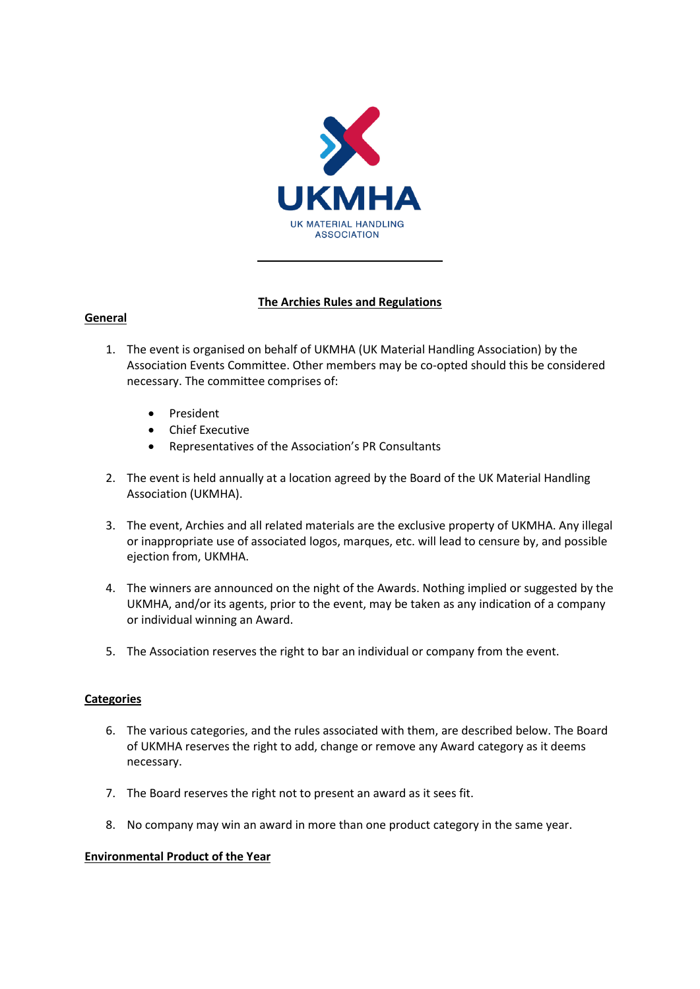

# **The Archies Rules and Regulations**

# **General**

- 1. The event is organised on behalf of UKMHA (UK Material Handling Association) by the Association Events Committee. Other members may be co-opted should this be considered necessary. The committee comprises of:
	- President
	- Chief Executive
	- Representatives of the Association's PR Consultants
- 2. The event is held annually at a location agreed by the Board of the UK Material Handling Association (UKMHA).
- 3. The event, Archies and all related materials are the exclusive property of UKMHA. Any illegal or inappropriate use of associated logos, marques, etc. will lead to censure by, and possible ejection from, UKMHA.
- 4. The winners are announced on the night of the Awards. Nothing implied or suggested by the UKMHA, and/or its agents, prior to the event, may be taken as any indication of a company or individual winning an Award.
- 5. The Association reserves the right to bar an individual or company from the event.

# **Categories**

- 6. The various categories, and the rules associated with them, are described below. The Board of UKMHA reserves the right to add, change or remove any Award category as it deems necessary.
- 7. The Board reserves the right not to present an award as it sees fit.
- 8. No company may win an award in more than one product category in the same year.

## **Environmental Product of the Year**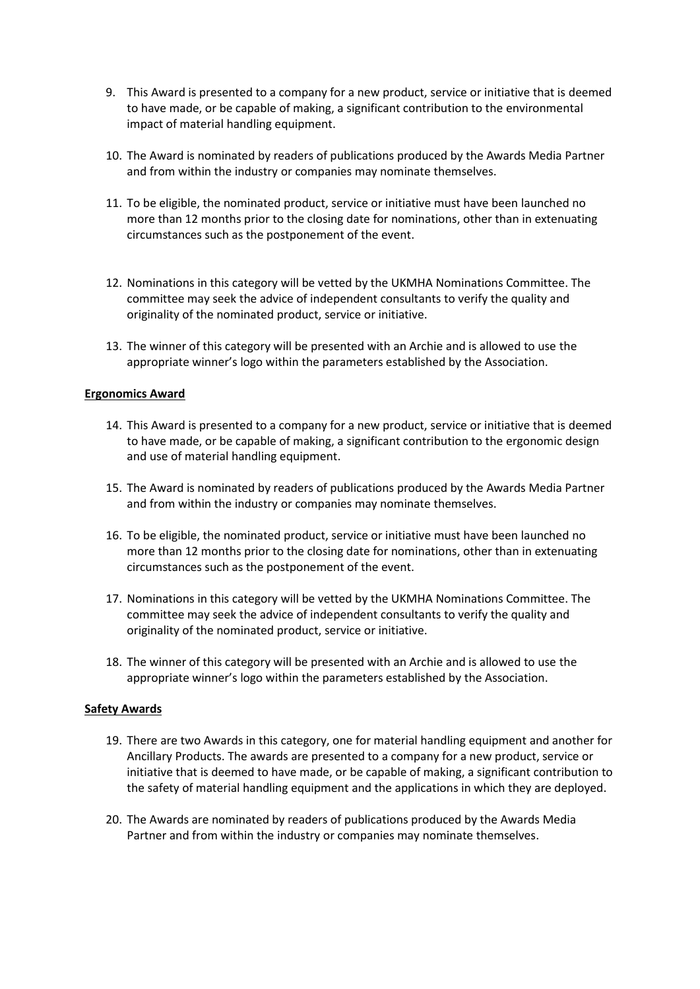- 9. This Award is presented to a company for a new product, service or initiative that is deemed to have made, or be capable of making, a significant contribution to the environmental impact of material handling equipment.
- 10. The Award is nominated by readers of publications produced by the Awards Media Partner and from within the industry or companies may nominate themselves.
- 11. To be eligible, the nominated product, service or initiative must have been launched no more than 12 months prior to the closing date for nominations, other than in extenuating circumstances such as the postponement of the event.
- 12. Nominations in this category will be vetted by the UKMHA Nominations Committee. The committee may seek the advice of independent consultants to verify the quality and originality of the nominated product, service or initiative.
- 13. The winner of this category will be presented with an Archie and is allowed to use the appropriate winner's logo within the parameters established by the Association.

### **Ergonomics Award**

- 14. This Award is presented to a company for a new product, service or initiative that is deemed to have made, or be capable of making, a significant contribution to the ergonomic design and use of material handling equipment.
- 15. The Award is nominated by readers of publications produced by the Awards Media Partner and from within the industry or companies may nominate themselves.
- 16. To be eligible, the nominated product, service or initiative must have been launched no more than 12 months prior to the closing date for nominations, other than in extenuating circumstances such as the postponement of the event.
- 17. Nominations in this category will be vetted by the UKMHA Nominations Committee. The committee may seek the advice of independent consultants to verify the quality and originality of the nominated product, service or initiative.
- 18. The winner of this category will be presented with an Archie and is allowed to use the appropriate winner's logo within the parameters established by the Association.

## **Safety Awards**

- 19. There are two Awards in this category, one for material handling equipment and another for Ancillary Products. The awards are presented to a company for a new product, service or initiative that is deemed to have made, or be capable of making, a significant contribution to the safety of material handling equipment and the applications in which they are deployed.
- 20. The Awards are nominated by readers of publications produced by the Awards Media Partner and from within the industry or companies may nominate themselves.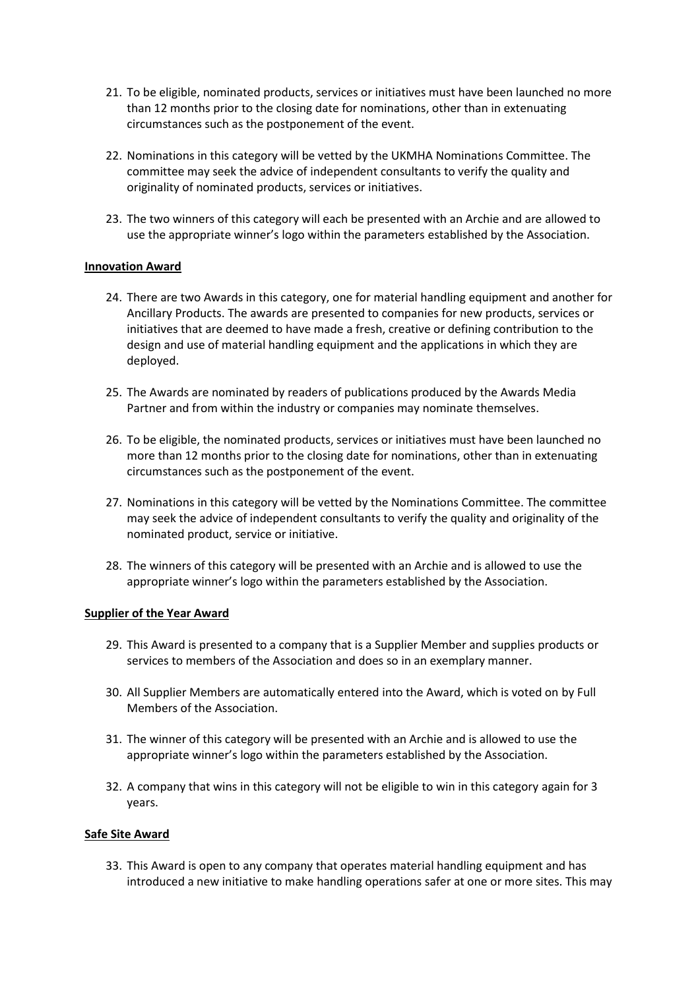- 21. To be eligible, nominated products, services or initiatives must have been launched no more than 12 months prior to the closing date for nominations, other than in extenuating circumstances such as the postponement of the event.
- 22. Nominations in this category will be vetted by the UKMHA Nominations Committee. The committee may seek the advice of independent consultants to verify the quality and originality of nominated products, services or initiatives.
- 23. The two winners of this category will each be presented with an Archie and are allowed to use the appropriate winner's logo within the parameters established by the Association.

## **Innovation Award**

- 24. There are two Awards in this category, one for material handling equipment and another for Ancillary Products. The awards are presented to companies for new products, services or initiatives that are deemed to have made a fresh, creative or defining contribution to the design and use of material handling equipment and the applications in which they are deployed.
- 25. The Awards are nominated by readers of publications produced by the Awards Media Partner and from within the industry or companies may nominate themselves.
- 26. To be eligible, the nominated products, services or initiatives must have been launched no more than 12 months prior to the closing date for nominations, other than in extenuating circumstances such as the postponement of the event.
- 27. Nominations in this category will be vetted by the Nominations Committee. The committee may seek the advice of independent consultants to verify the quality and originality of the nominated product, service or initiative.
- 28. The winners of this category will be presented with an Archie and is allowed to use the appropriate winner's logo within the parameters established by the Association.

## **Supplier of the Year Award**

- 29. This Award is presented to a company that is a Supplier Member and supplies products or services to members of the Association and does so in an exemplary manner.
- 30. All Supplier Members are automatically entered into the Award, which is voted on by Full Members of the Association.
- 31. The winner of this category will be presented with an Archie and is allowed to use the appropriate winner's logo within the parameters established by the Association.
- 32. A company that wins in this category will not be eligible to win in this category again for 3 years.

## **Safe Site Award**

33. This Award is open to any company that operates material handling equipment and has introduced a new initiative to make handling operations safer at one or more sites. This may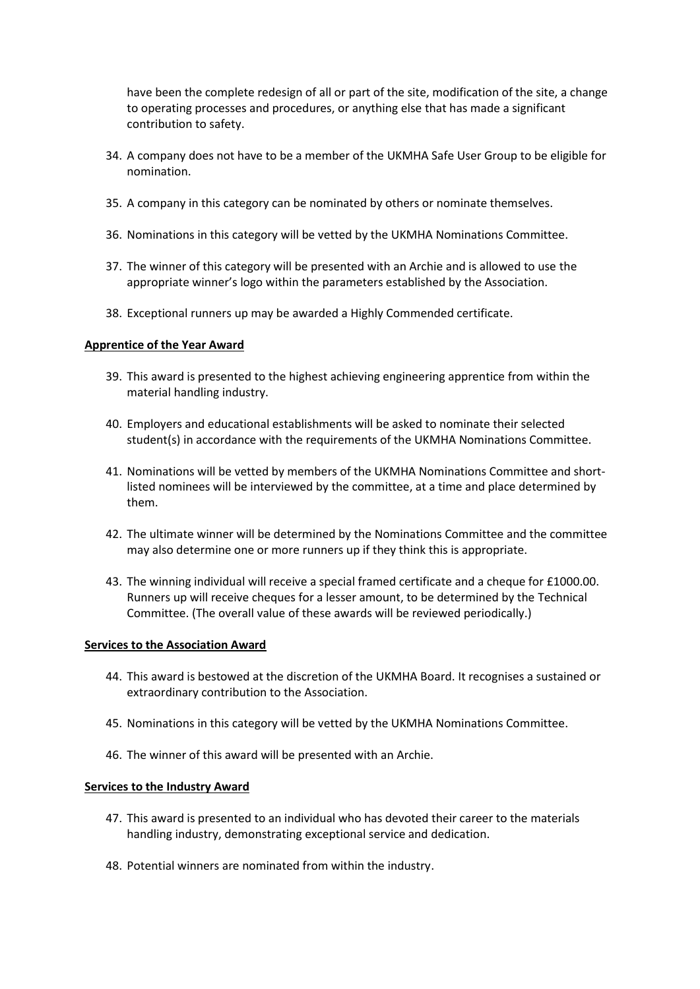have been the complete redesign of all or part of the site, modification of the site, a change to operating processes and procedures, or anything else that has made a significant contribution to safety.

- 34. A company does not have to be a member of the UKMHA Safe User Group to be eligible for nomination.
- 35. A company in this category can be nominated by others or nominate themselves.
- 36. Nominations in this category will be vetted by the UKMHA Nominations Committee.
- 37. The winner of this category will be presented with an Archie and is allowed to use the appropriate winner's logo within the parameters established by the Association.
- 38. Exceptional runners up may be awarded a Highly Commended certificate.

### **Apprentice of the Year Award**

- 39. This award is presented to the highest achieving engineering apprentice from within the material handling industry.
- 40. Employers and educational establishments will be asked to nominate their selected student(s) in accordance with the requirements of the UKMHA Nominations Committee.
- 41. Nominations will be vetted by members of the UKMHA Nominations Committee and shortlisted nominees will be interviewed by the committee, at a time and place determined by them.
- 42. The ultimate winner will be determined by the Nominations Committee and the committee may also determine one or more runners up if they think this is appropriate.
- 43. The winning individual will receive a special framed certificate and a cheque for £1000.00. Runners up will receive cheques for a lesser amount, to be determined by the Technical Committee. (The overall value of these awards will be reviewed periodically.)

#### **Services to the Association Award**

- 44. This award is bestowed at the discretion of the UKMHA Board. It recognises a sustained or extraordinary contribution to the Association.
- 45. Nominations in this category will be vetted by the UKMHA Nominations Committee.
- 46. The winner of this award will be presented with an Archie.

#### **Services to the Industry Award**

- 47. This award is presented to an individual who has devoted their career to the materials handling industry, demonstrating exceptional service and dedication.
- 48. Potential winners are nominated from within the industry.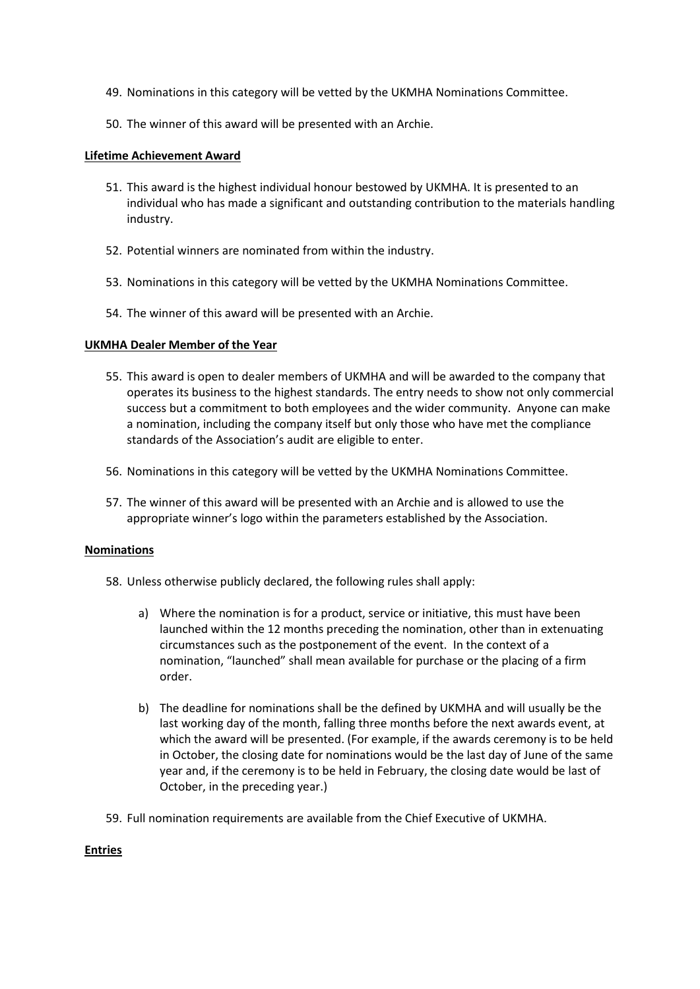- 49. Nominations in this category will be vetted by the UKMHA Nominations Committee.
- 50. The winner of this award will be presented with an Archie.

### **Lifetime Achievement Award**

- 51. This award is the highest individual honour bestowed by UKMHA. It is presented to an individual who has made a significant and outstanding contribution to the materials handling industry.
- 52. Potential winners are nominated from within the industry.
- 53. Nominations in this category will be vetted by the UKMHA Nominations Committee.
- 54. The winner of this award will be presented with an Archie.

### **UKMHA Dealer Member of the Year**

- 55. This award is open to dealer members of UKMHA and will be awarded to the company that operates its business to the highest standards. The entry needs to show not only commercial success but a commitment to both employees and the wider community. Anyone can make a nomination, including the company itself but only those who have met the compliance standards of the Association's audit are eligible to enter.
- 56. Nominations in this category will be vetted by the UKMHA Nominations Committee.
- 57. The winner of this award will be presented with an Archie and is allowed to use the appropriate winner's logo within the parameters established by the Association.

#### **Nominations**

- 58. Unless otherwise publicly declared, the following rules shall apply:
	- a) Where the nomination is for a product, service or initiative, this must have been launched within the 12 months preceding the nomination, other than in extenuating circumstances such as the postponement of the event. In the context of a nomination, "launched" shall mean available for purchase or the placing of a firm order.
	- b) The deadline for nominations shall be the defined by UKMHA and will usually be the last working day of the month, falling three months before the next awards event, at which the award will be presented. (For example, if the awards ceremony is to be held in October, the closing date for nominations would be the last day of June of the same year and, if the ceremony is to be held in February, the closing date would be last of October, in the preceding year.)
- 59. Full nomination requirements are available from the Chief Executive of UKMHA.

#### **Entries**